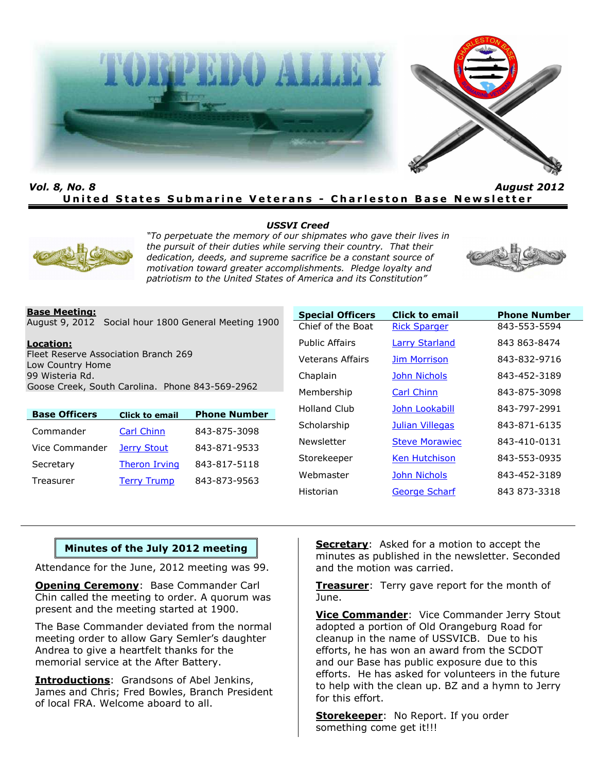

*Vol. 8, No. 8 August 2012* **United States Submarine Veterans - Charleston Base Newsletter** 

#### *USSVI Creed*



*"To perpetuate the memory of our shipmates who gave their lives in the pursuit of their duties while serving their country. That their dedication, deeds, and supreme sacrifice be a constant source of motivation toward greater accomplishments. Pledge loyalty and patriotism to the United States of America and its Constitution"*



#### **Base Meeting:**

August 9, 2012 Social hour 1800 General Meeting 1900

#### **Location:**

Fleet Reserve Association Branch 269 Low Country Home 99 Wisteria Rd. Goose Creek, South Carolina. Phone 843-569-2962

| <b>Base Officers</b> | <b>Click to email</b> | <b>Phone Number</b> |
|----------------------|-----------------------|---------------------|
| Commander            | Carl Chinn            | 843-875-3098        |
| Vice Commander       | Jerry Stout           | 843-871-9533        |
| Secretary            | <b>Theron Irving</b>  | 843-817-5118        |
| Treasurer            | <b>Terry Trump</b>    | 843-873-9563        |

| <b>Special Officers</b> | <b>Click to email</b> | <b>Phone Number</b> |
|-------------------------|-----------------------|---------------------|
| Chief of the Boat       | <b>Rick Sparger</b>   | 843-553-5594        |
| Public Affairs          | <b>Larry Starland</b> | 843 863-8474        |
| Veterans Affairs        | <b>Jim Morrison</b>   | 843-832-9716        |
| Chaplain                | <b>John Nichols</b>   | 843-452-3189        |
| Membership              | <b>Carl Chinn</b>     | 843-875-3098        |
| Holland Club            | John Lookabill        | 843-797-2991        |
| Scholarship             | Julian Villegas       | 843-871-6135        |
| Newsletter              | <b>Steve Morawiec</b> | 843-410-0131        |
| Storekeeper             | <b>Ken Hutchison</b>  | 843-553-0935        |
| Webmaster               | <b>John Nichols</b>   | 843-452-3189        |
| Historian               | <b>George Scharf</b>  | 843 873-3318        |

### **Minutes of the July 2012 meeting**

Attendance for the June, 2012 meeting was 99.

**Opening Ceremony: Base Commander Carl** Chin called the meeting to order. A quorum was present and the meeting started at 1900.

The Base Commander deviated from the normal meeting order to allow Gary Semler's daughter Andrea to give a heartfelt thanks for the memorial service at the After Battery.

**Introductions**: Grandsons of Abel Jenkins, James and Chris; Fred Bowles, Branch President of local FRA. Welcome aboard to all.

**Secretary**: Asked for a motion to accept the minutes as published in the newsletter. Seconded and the motion was carried.

**Treasurer**: Terry gave report for the month of June.

**Vice Commander**: Vice Commander Jerry Stout adopted a portion of Old Orangeburg Road for cleanup in the name of USSVICB. Due to his efforts, he has won an award from the SCDOT and our Base has public exposure due to this efforts. He has asked for volunteers in the future to help with the clean up. BZ and a hymn to Jerry for this effort.

**Storekeeper**: No Report. If you order something come get it!!!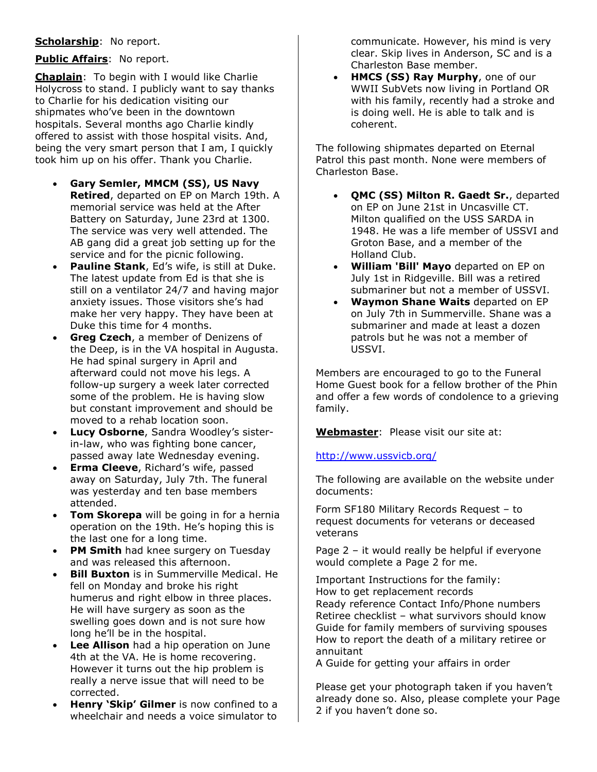# **Scholarship**: No report.

## **Public Affairs**: No report.

**Chaplain**: To begin with I would like Charlie Holycross to stand. I publicly want to say thanks to Charlie for his dedication visiting our shipmates who've been in the downtown hospitals. Several months ago Charlie kindly offered to assist with those hospital visits. And, being the very smart person that I am, I quickly took him up on his offer. Thank you Charlie.

- **Gary Semler, MMCM (SS), US Navy Retired**, departed on EP on March 19th. A memorial service was held at the After Battery on Saturday, June 23rd at 1300. The service was very well attended. The AB gang did a great job setting up for the service and for the picnic following.
- **Pauline Stank**, Ed's wife, is still at Duke. The latest update from Ed is that she is still on a ventilator 24/7 and having major anxiety issues. Those visitors she's had make her very happy. They have been at Duke this time for 4 months.
- **Greg Czech**, a member of Denizens of the Deep, is in the VA hospital in Augusta. He had spinal surgery in April and afterward could not move his legs. A follow-up surgery a week later corrected some of the problem. He is having slow but constant improvement and should be moved to a rehab location soon.
- **Lucy Osborne**, Sandra Woodley's sisterin-law, who was fighting bone cancer, passed away late Wednesday evening.
- **Erma Cleeve**, Richard's wife, passed away on Saturday, July 7th. The funeral was yesterday and ten base members attended.
- **Tom Skorepa** will be going in for a hernia operation on the 19th. He's hoping this is the last one for a long time.
- **PM Smith** had knee surgery on Tuesday and was released this afternoon.
- **Bill Buxton** is in Summerville Medical. He fell on Monday and broke his right humerus and right elbow in three places. He will have surgery as soon as the swelling goes down and is not sure how long he'll be in the hospital.
- **Lee Allison** had a hip operation on June 4th at the VA. He is home recovering. However it turns out the hip problem is really a nerve issue that will need to be corrected.
- **Henry 'Skip' Gilmer** is now confined to a wheelchair and needs a voice simulator to

communicate. However, his mind is very clear. Skip lives in Anderson, SC and is a Charleston Base member.

• **HMCS (SS) Ray Murphy**, one of our WWII SubVets now living in Portland OR with his family, recently had a stroke and is doing well. He is able to talk and is coherent.

The following shipmates departed on Eternal Patrol this past month. None were members of Charleston Base.

- **QMC (SS) Milton R. Gaedt Sr.**, departed on EP on June 21st in Uncasville CT. Milton qualified on the USS SARDA in 1948. He was a life member of USSVI and Groton Base, and a member of the Holland Club.
- **William 'Bill' Mayo** departed on EP on July 1st in Ridgeville. Bill was a retired submariner but not a member of USSVI.
- **Waymon Shane Waits** departed on EP on July 7th in Summerville. Shane was a submariner and made at least a dozen patrols but he was not a member of USSVI.

Members are encouraged to go to the Funeral Home Guest book for a fellow brother of the Phin and offer a few words of condolence to a grieving family.

**Webmaster**: Please visit our site at:

### <http://www.ussvicb.org/>

The following are available on the website under documents:

Form SF180 Military Records Request – to request documents for veterans or deceased veterans

Page 2 – it would really be helpful if everyone would complete a Page 2 for me.

Important Instructions for the family: How to get replacement records Ready reference Contact Info/Phone numbers Retiree checklist – what survivors should know Guide for family members of surviving spouses How to report the death of a military retiree or annuitant

A Guide for getting your affairs in order

Please get your photograph taken if you haven't already done so. Also, please complete your Page 2 if you haven't done so.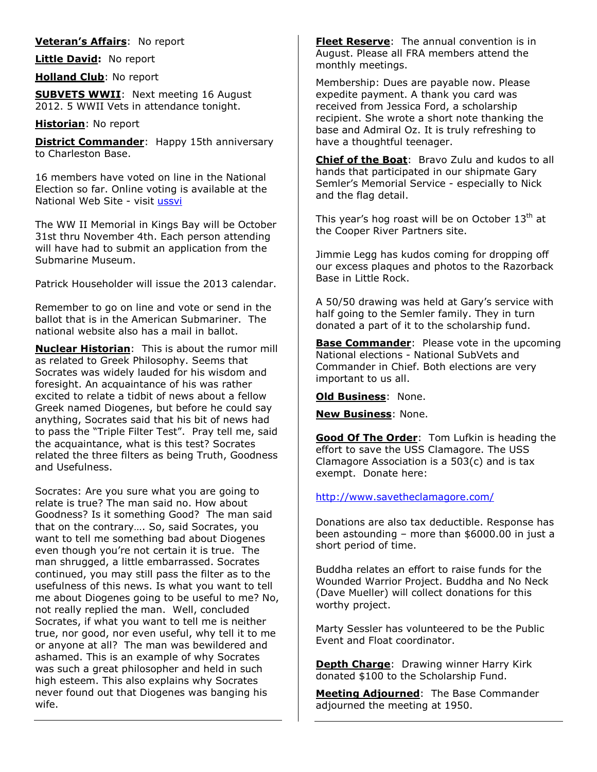### **Veteran's Affairs**: No report

**Little David:** No report

**Holland Club**: No report

**SUBVETS WWII**: Next meeting 16 August 2012. 5 WWII Vets in attendance tonight.

### **Historian**: No report

**District Commander:** Happy 15th anniversary to Charleston Base.

16 members have voted on line in the National Election so far. Online voting is available at the National Web Site - visit [ussvi](https://www.ussvi.org/home.asp) 

The WW II Memorial in Kings Bay will be October 31st thru November 4th. Each person attending will have had to submit an application from the Submarine Museum.

Patrick Householder will issue the 2013 calendar.

Remember to go on line and vote or send in the ballot that is in the American Submariner. The national website also has a mail in ballot.

**Nuclear Historian**: This is about the rumor mill as related to Greek Philosophy. Seems that Socrates was widely lauded for his wisdom and foresight. An acquaintance of his was rather excited to relate a tidbit of news about a fellow Greek named Diogenes, but before he could say anything, Socrates said that his bit of news had to pass the "Triple Filter Test". Pray tell me, said the acquaintance, what is this test? Socrates related the three filters as being Truth, Goodness and Usefulness.

Socrates: Are you sure what you are going to relate is true? The man said no. How about Goodness? Is it something Good? The man said that on the contrary…. So, said Socrates, you want to tell me something bad about Diogenes even though you're not certain it is true. The man shrugged, a little embarrassed. Socrates continued, you may still pass the filter as to the usefulness of this news. Is what you want to tell me about Diogenes going to be useful to me? No, not really replied the man. Well, concluded Socrates, if what you want to tell me is neither true, nor good, nor even useful, why tell it to me or anyone at all? The man was bewildered and ashamed. This is an example of why Socrates was such a great philosopher and held in such high esteem. This also explains why Socrates never found out that Diogenes was banging his wife.

**Fleet Reserve**: The annual convention is in August. Please all FRA members attend the monthly meetings.

Membership: Dues are payable now. Please expedite payment. A thank you card was received from Jessica Ford, a scholarship recipient. She wrote a short note thanking the base and Admiral Oz. It is truly refreshing to have a thoughtful teenager.

**Chief of the Boat**: Bravo Zulu and kudos to all hands that participated in our shipmate Gary Semler's Memorial Service - especially to Nick and the flag detail.

This year's hog roast will be on October  $13<sup>th</sup>$  at the Cooper River Partners site.

Jimmie Legg has kudos coming for dropping off our excess plaques and photos to the Razorback Base in Little Rock.

A 50/50 drawing was held at Gary's service with half going to the Semler family. They in turn donated a part of it to the scholarship fund.

**Base Commander**: Please vote in the upcoming National elections - National SubVets and Commander in Chief. Both elections are very important to us all.

**Old Business**: None.

**New Business**: None.

**Good Of The Order**: Tom Lufkin is heading the effort to save the USS Clamagore. The USS Clamagore Association is a 503(c) and is tax exempt. Donate here:

### <http://www.savetheclamagore.com/>

Donations are also tax deductible. Response has been astounding – more than \$6000.00 in just a short period of time.

Buddha relates an effort to raise funds for the Wounded Warrior Project. Buddha and No Neck (Dave Mueller) will collect donations for this worthy project.

Marty Sessler has volunteered to be the Public Event and Float coordinator.

**Depth Charge**: Drawing winner Harry Kirk donated \$100 to the Scholarship Fund.

**Meeting Adjourned**: The Base Commander adjourned the meeting at 1950.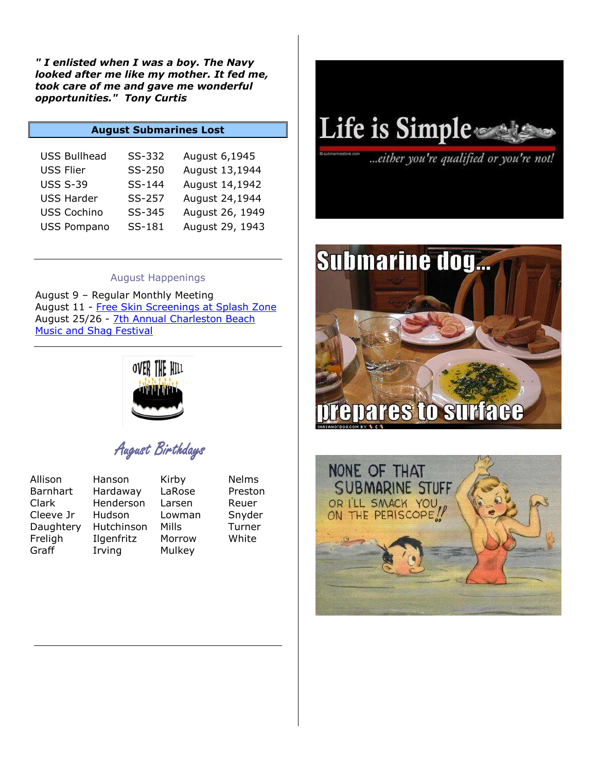*" I enlisted when I was a boy. The Navy looked after me like my mother. It fed me, took care of me and gave me wonderful opportunities." Tony Curtis* 

### **August Submarines Lost**

| <b>USS Bullhead</b> | SS-332 | August 6,1945   |
|---------------------|--------|-----------------|
| <b>USS Flier</b>    | SS-250 | August 13,1944  |
| <b>USS S-39</b>     | SS-144 | August 14,1942  |
| <b>USS Harder</b>   | SS-257 | August 24,1944  |
| <b>USS Cochino</b>  | SS-345 | August 26, 1949 |
| <b>USS Pompano</b>  | SS-181 | August 29, 1943 |

#### August Happenings

August 9 – Regular Monthly Meeting August 11 - [Free Skin Screenings at Splash Zone](http://www.charlestoncvb.com/visitors/events_news/charleston-events/free_skin_screenings_at_splash_zone-7719?search=&endDate=08/31/2012&category=15&category=6&category=13&category=11&category=2&category=10&category=14&category=4&category=8&categor) August 25/26 - [7th Annual Charleston Beach](http://www.charlestoncvb.com/visitors/events_news/charleston-events/7th_annual_charleston_beach_music_and_shag_festival-7739?search=&endDate=08/31/2012&category=15&category=6&category=13&category=11&category=2&category=10&category=14&category=4&ca)  [Music and Shag Festival](http://www.charlestoncvb.com/visitors/events_news/charleston-events/7th_annual_charleston_beach_music_and_shag_festival-7739?search=&endDate=08/31/2012&category=15&category=6&category=13&category=11&category=2&category=10&category=14&category=4&ca)



August Birthdays

| Allison   |
|-----------|
| Barnhart  |
| Clark     |
| Cleeve Jr |
| Daughtery |
| Freligh   |
| Graff     |

Hardaway LaRose Preston Henderson Larsen Reuer Hudson Lowman Snyder Hutchinson Mills Turner Ilgenfritz Morrow White Irving Mulkey

Hanson Kirby Nelms

Life is Simple

...either you're qualified or you're not!



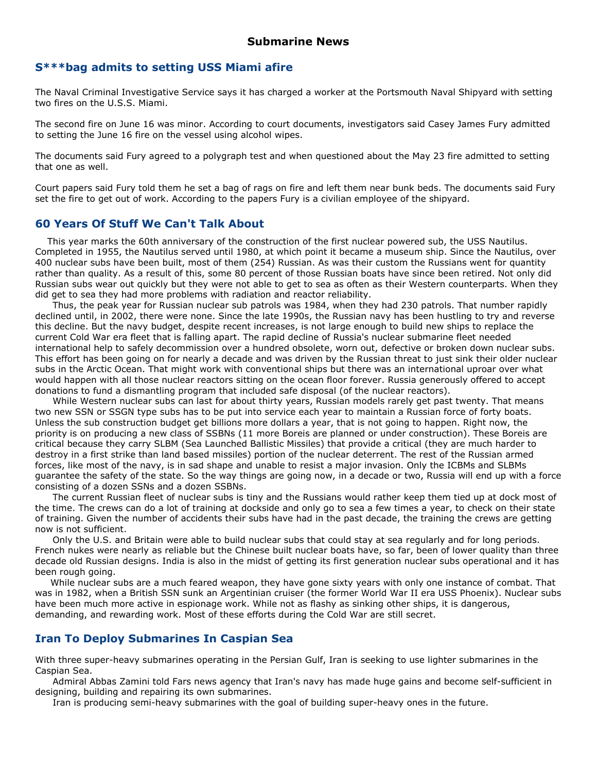### **S\*\*\*bag admits to setting USS Miami afire**

The Naval Criminal Investigative Service says it has charged a worker at the Portsmouth Naval Shipyard with setting two fires on the U.S.S. Miami.

The second fire on June 16 was minor. According to court documents, investigators said Casey James Fury admitted to setting the June 16 fire on the vessel using alcohol wipes.

The documents said Fury agreed to a polygraph test and when questioned about the May 23 fire admitted to setting that one as well.

Court papers said Fury told them he set a bag of rags on fire and left them near bunk beds. The documents said Fury set the fire to get out of work. According to the papers Fury is a civilian employee of the shipyard.

### **60 Years Of Stuff We Can't Talk About**

 This year marks the 60th anniversary of the construction of the first nuclear powered sub, the USS Nautilus. Completed in 1955, the Nautilus served until 1980, at which point it became a museum ship. Since the Nautilus, over 400 nuclear subs have been built, most of them (254) Russian. As was their custom the Russians went for quantity rather than quality. As a result of this, some 80 percent of those Russian boats have since been retired. Not only did Russian subs wear out quickly but they were not able to get to sea as often as their Western counterparts. When they did get to sea they had more problems with radiation and reactor reliability.

Thus, the peak year for Russian nuclear sub patrols was 1984, when they had 230 patrols. That number rapidly declined until, in 2002, there were none. Since the late 1990s, the Russian navy has been hustling to try and reverse this decline. But the navy budget, despite recent increases, is not large enough to build new ships to replace the current Cold War era fleet that is falling apart. The rapid decline of Russia's nuclear submarine fleet needed international help to safely decommission over a hundred obsolete, worn out, defective or broken down nuclear subs. This effort has been going on for nearly a decade and was driven by the Russian threat to just sink their older nuclear subs in the Arctic Ocean. That might work with conventional ships but there was an international uproar over what would happen with all those nuclear reactors sitting on the ocean floor forever. Russia generously offered to accept donations to fund a dismantling program that included safe disposal (of the nuclear reactors).

While Western nuclear subs can last for about thirty years, Russian models rarely get past twenty. That means two new SSN or SSGN type subs has to be put into service each year to maintain a Russian force of forty boats. Unless the sub construction budget get billions more dollars a year, that is not going to happen. Right now, the priority is on producing a new class of SSBNs (11 more Boreis are planned or under construction). These Boreis are critical because they carry SLBM (Sea Launched Ballistic Missiles) that provide a critical (they are much harder to destroy in a first strike than land based missiles) portion of the nuclear deterrent. The rest of the Russian armed forces, like most of the navy, is in sad shape and unable to resist a major invasion. Only the ICBMs and SLBMs guarantee the safety of the state. So the way things are going now, in a decade or two, Russia will end up with a force consisting of a dozen SSNs and a dozen SSBNs.

The current Russian fleet of nuclear subs is tiny and the Russians would rather keep them tied up at dock most of the time. The crews can do a lot of training at dockside and only go to sea a few times a year, to check on their state of training. Given the number of accidents their subs have had in the past decade, the training the crews are getting now is not sufficient.

Only the U.S. and Britain were able to build nuclear subs that could stay at sea regularly and for long periods. French nukes were nearly as reliable but the Chinese built nuclear boats have, so far, been of lower quality than three decade old Russian designs. India is also in the midst of getting its first generation nuclear subs operational and it has been rough going.

 While nuclear subs are a much feared weapon, they have gone sixty years with only one instance of combat. That was in 1982, when a British SSN sunk an Argentinian cruiser (the former World War II era USS Phoenix). Nuclear subs have been much more active in espionage work. While not as flashy as sinking other ships, it is dangerous, demanding, and rewarding work. Most of these efforts during the Cold War are still secret.

# **Iran To Deploy Submarines In Caspian Sea**

With three super-heavy submarines operating in the Persian Gulf, Iran is seeking to use lighter submarines in the Caspian Sea.

Admiral Abbas Zamini told Fars news agency that Iran's navy has made huge gains and become self-sufficient in designing, building and repairing its own submarines.

Iran is producing semi-heavy submarines with the goal of building super-heavy ones in the future.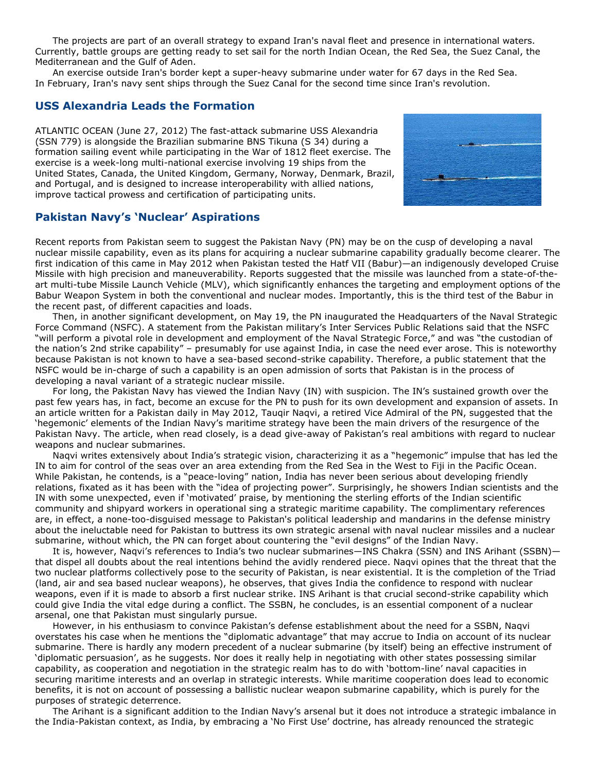The projects are part of an overall strategy to expand Iran's naval fleet and presence in international waters. Currently, battle groups are getting ready to set sail for the north Indian Ocean, the Red Sea, the Suez Canal, the Mediterranean and the Gulf of Aden.

An exercise outside Iran's border kept a super-heavy submarine under water for 67 days in the Red Sea. In February, Iran's navy sent ships through the Suez Canal for the second time since Iran's revolution.

### **USS Alexandria Leads the Formation**

ATLANTIC OCEAN (June 27, 2012) The fast-attack submarine USS Alexandria (SSN 779) is alongside the Brazilian submarine BNS Tikuna (S 34) during a formation sailing event while participating in the War of 1812 fleet exercise. The exercise is a week-long multi-national exercise involving 19 ships from the United States, Canada, the United Kingdom, Germany, Norway, Denmark, Brazil, and Portugal, and is designed to increase interoperability with allied nations, improve tactical prowess and certification of participating units.



# **Pakistan Navy's 'Nuclear' Aspirations**

Recent reports from Pakistan seem to suggest the Pakistan Navy (PN) may be on the cusp of developing a naval nuclear missile capability, even as its plans for acquiring a nuclear submarine capability gradually become clearer. The first indication of this came in May 2012 when Pakistan tested the Hatf VII (Babur)—an indigenously developed Cruise Missile with high precision and maneuverability. Reports suggested that the missile was launched from a state-of-theart multi-tube Missile Launch Vehicle (MLV), which significantly enhances the targeting and employment options of the Babur Weapon System in both the conventional and nuclear modes. Importantly, this is the third test of the Babur in the recent past, of different capacities and loads.

Then, in another significant development, on May 19, the PN inaugurated the Headquarters of the Naval Strategic Force Command (NSFC). A statement from the Pakistan military's Inter Services Public Relations said that the NSFC "will perform a pivotal role in development and employment of the Naval Strategic Force," and was "the custodian of the nation's 2nd strike capability" – presumably for use against India, in case the need ever arose. This is noteworthy because Pakistan is not known to have a sea-based second-strike capability. Therefore, a public statement that the NSFC would be in-charge of such a capability is an open admission of sorts that Pakistan is in the process of developing a naval variant of a strategic nuclear missile.

For long, the Pakistan Navy has viewed the Indian Navy (IN) with suspicion. The IN's sustained growth over the past few years has, in fact, become an excuse for the PN to push for its own development and expansion of assets. In an article written for a Pakistan daily in May 2012, Tauqir Naqvi, a retired Vice Admiral of the PN, suggested that the 'hegemonic' elements of the Indian Navy's maritime strategy have been the main drivers of the resurgence of the Pakistan Navy. The article, when read closely, is a dead give-away of Pakistan's real ambitions with regard to nuclear weapons and nuclear submarines.

Naqvi writes extensively about India's strategic vision, characterizing it as a "hegemonic" impulse that has led the IN to aim for control of the seas over an area extending from the Red Sea in the West to Fiji in the Pacific Ocean. While Pakistan, he contends, is a "peace-loving" nation, India has never been serious about developing friendly relations, fixated as it has been with the "idea of projecting power". Surprisingly, he showers Indian scientists and the IN with some unexpected, even if 'motivated' praise, by mentioning the sterling efforts of the Indian scientific community and shipyard workers in operational sing a strategic maritime capability. The complimentary references are, in effect, a none-too-disguised message to Pakistan's political leadership and mandarins in the defense ministry about the ineluctable need for Pakistan to buttress its own strategic arsenal with naval nuclear missiles and a nuclear submarine, without which, the PN can forget about countering the "evil designs" of the Indian Navy.

It is, however, Naqvi's references to India's two nuclear submarines—INS Chakra (SSN) and INS Arihant (SSBN) that dispel all doubts about the real intentions behind the avidly rendered piece. Naqvi opines that the threat that the two nuclear platforms collectively pose to the security of Pakistan, is near existential. It is the completion of the Triad (land, air and sea based nuclear weapons), he observes, that gives India the confidence to respond with nuclear weapons, even if it is made to absorb a first nuclear strike. INS Arihant is that crucial second-strike capability which could give India the vital edge during a conflict. The SSBN, he concludes, is an essential component of a nuclear arsenal, one that Pakistan must singularly pursue.

However, in his enthusiasm to convince Pakistan's defense establishment about the need for a SSBN, Naqvi overstates his case when he mentions the "diplomatic advantage" that may accrue to India on account of its nuclear submarine. There is hardly any modern precedent of a nuclear submarine (by itself) being an effective instrument of 'diplomatic persuasion', as he suggests. Nor does it really help in negotiating with other states possessing similar capability, as cooperation and negotiation in the strategic realm has to do with 'bottom-line' naval capacities in securing maritime interests and an overlap in strategic interests. While maritime cooperation does lead to economic benefits, it is not on account of possessing a ballistic nuclear weapon submarine capability, which is purely for the purposes of strategic deterrence.

The Arihant is a significant addition to the Indian Navy's arsenal but it does not introduce a strategic imbalance in the India-Pakistan context, as India, by embracing a 'No First Use' doctrine, has already renounced the strategic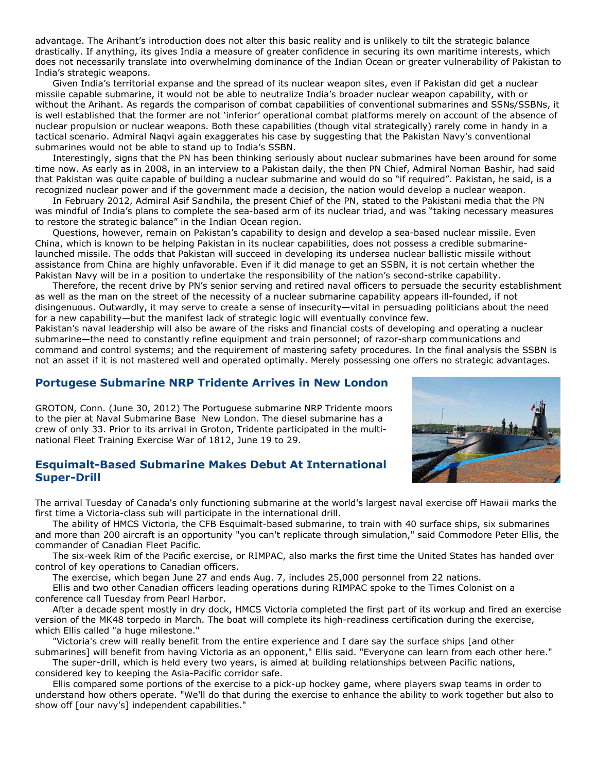advantage. The Arihant's introduction does not alter this basic reality and is unlikely to tilt the strategic balance drastically. If anything, its gives India a measure of greater confidence in securing its own maritime interests, which does not necessarily translate into overwhelming dominance of the Indian Ocean or greater vulnerability of Pakistan to India's strategic weapons.

Given India's territorial expanse and the spread of its nuclear weapon sites, even if Pakistan did get a nuclear missile capable submarine, it would not be able to neutralize India's broader nuclear weapon capability, with or without the Arihant. As regards the comparison of combat capabilities of conventional submarines and SSNs/SSBNs, it is well established that the former are not 'inferior' operational combat platforms merely on account of the absence of nuclear propulsion or nuclear weapons. Both these capabilities (though vital strategically) rarely come in handy in a tactical scenario. Admiral Naqvi again exaggerates his case by suggesting that the Pakistan Navy's conventional submarines would not be able to stand up to India's SSBN.

Interestingly, signs that the PN has been thinking seriously about nuclear submarines have been around for some time now. As early as in 2008, in an interview to a Pakistan daily, the then PN Chief, Admiral Noman Bashir, had said that Pakistan was quite capable of building a nuclear submarine and would do so "if required". Pakistan, he said, is a recognized nuclear power and if the government made a decision, the nation would develop a nuclear weapon.

In February 2012, Admiral Asif Sandhila, the present Chief of the PN, stated to the Pakistani media that the PN was mindful of India's plans to complete the sea-based arm of its nuclear triad, and was "taking necessary measures to restore the strategic balance" in the Indian Ocean region.

Questions, however, remain on Pakistan's capability to design and develop a sea-based nuclear missile. Even China, which is known to be helping Pakistan in its nuclear capabilities, does not possess a credible submarinelaunched missile. The odds that Pakistan will succeed in developing its undersea nuclear ballistic missile without assistance from China are highly unfavorable. Even if it did manage to get an SSBN, it is not certain whether the Pakistan Navy will be in a position to undertake the responsibility of the nation's second-strike capability.

Therefore, the recent drive by PN's senior serving and retired naval officers to persuade the security establishment as well as the man on the street of the necessity of a nuclear submarine capability appears ill-founded, if not disingenuous. Outwardly, it may serve to create a sense of insecurity—vital in persuading politicians about the need for a new capability—but the manifest lack of strategic logic will eventually convince few.

Pakistan's naval leadership will also be aware of the risks and financial costs of developing and operating a nuclear submarine—the need to constantly refine equipment and train personnel; of razor-sharp communications and command and control systems; and the requirement of mastering safety procedures. In the final analysis the SSBN is not an asset if it is not mastered well and operated optimally. Merely possessing one offers no strategic advantages.

## **Portugese Submarine NRP Tridente Arrives in New London**

GROTON, Conn. (June 30, 2012) The Portuguese submarine NRP Tridente moors to the pier at Naval Submarine Base New London. The diesel submarine has a crew of only 33. Prior to its arrival in Groton, Tridente participated in the multinational Fleet Training Exercise War of 1812, June 19 to 29.

## **Esquimalt-Based Submarine Makes Debut At International Super-Drill**

The arrival Tuesday of Canada's only functioning submarine at the world's largest naval exercise off Hawaii marks the first time a Victoria-class sub will participate in the international drill.

The ability of HMCS Victoria, the CFB Esquimalt-based submarine, to train with 40 surface ships, six submarines and more than 200 aircraft is an opportunity "you can't replicate through simulation," said Commodore Peter Ellis, the commander of Canadian Fleet Pacific.

The six-week Rim of the Pacific exercise, or RIMPAC, also marks the first time the United States has handed over control of key operations to Canadian officers.

The exercise, which began June 27 and ends Aug. 7, includes 25,000 personnel from 22 nations.

Ellis and two other Canadian officers leading operations during RIMPAC spoke to the Times Colonist on a conference call Tuesday from Pearl Harbor.

After a decade spent mostly in dry dock, HMCS Victoria completed the first part of its workup and fired an exercise version of the MK48 torpedo in March. The boat will complete its high-readiness certification during the exercise, which Ellis called "a huge milestone."

"Victoria's crew will really benefit from the entire experience and I dare say the surface ships [and other submarines] will benefit from having Victoria as an opponent," Ellis said. "Everyone can learn from each other here."

The super-drill, which is held every two years, is aimed at building relationships between Pacific nations, considered key to keeping the Asia-Pacific corridor safe.

Ellis compared some portions of the exercise to a pick-up hockey game, where players swap teams in order to understand how others operate. "We'll do that during the exercise to enhance the ability to work together but also to show off [our navy's] independent capabilities."

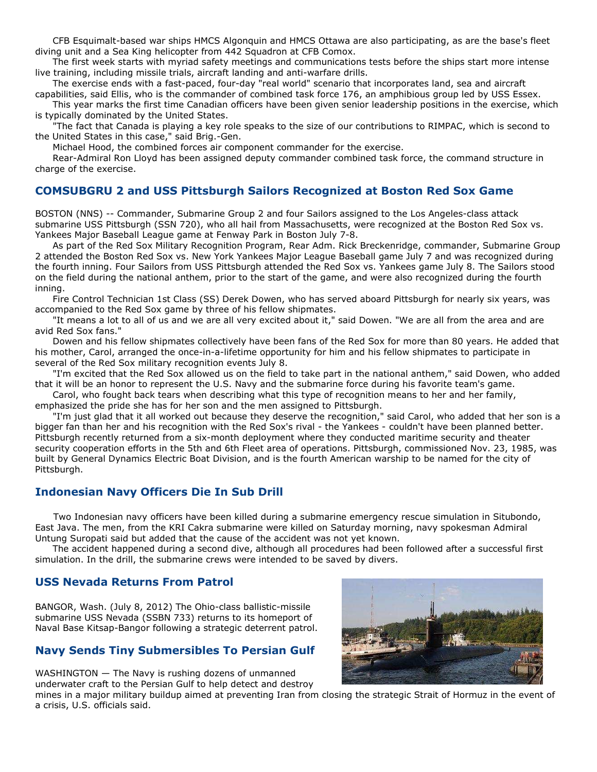CFB Esquimalt-based war ships HMCS Algonquin and HMCS Ottawa are also participating, as are the base's fleet diving unit and a Sea King helicopter from 442 Squadron at CFB Comox.

The first week starts with myriad safety meetings and communications tests before the ships start more intense live training, including missile trials, aircraft landing and anti-warfare drills.

The exercise ends with a fast-paced, four-day "real world" scenario that incorporates land, sea and aircraft capabilities, said Ellis, who is the commander of combined task force 176, an amphibious group led by USS Essex.

This year marks the first time Canadian officers have been given senior leadership positions in the exercise, which is typically dominated by the United States.

"The fact that Canada is playing a key role speaks to the size of our contributions to RIMPAC, which is second to the United States in this case," said Brig.-Gen.

Michael Hood, the combined forces air component commander for the exercise.

Rear-Admiral Ron Lloyd has been assigned deputy commander combined task force, the command structure in charge of the exercise.

# **COMSUBGRU 2 and USS Pittsburgh Sailors Recognized at Boston Red Sox Game**

BOSTON (NNS) -- Commander, Submarine Group 2 and four Sailors assigned to the Los Angeles-class attack submarine USS Pittsburgh (SSN 720), who all hail from Massachusetts, were recognized at the Boston Red Sox vs. Yankees Major Baseball League game at Fenway Park in Boston July 7-8.

As part of the Red Sox Military Recognition Program, Rear Adm. Rick Breckenridge, commander, Submarine Group 2 attended the Boston Red Sox vs. New York Yankees Major League Baseball game July 7 and was recognized during the fourth inning. Four Sailors from USS Pittsburgh attended the Red Sox vs. Yankees game July 8. The Sailors stood on the field during the national anthem, prior to the start of the game, and were also recognized during the fourth inning.

Fire Control Technician 1st Class (SS) Derek Dowen, who has served aboard Pittsburgh for nearly six years, was accompanied to the Red Sox game by three of his fellow shipmates.

"It means a lot to all of us and we are all very excited about it," said Dowen. "We are all from the area and are avid Red Sox fans."

Dowen and his fellow shipmates collectively have been fans of the Red Sox for more than 80 years. He added that his mother, Carol, arranged the once-in-a-lifetime opportunity for him and his fellow shipmates to participate in several of the Red Sox military recognition events July 8.

"I'm excited that the Red Sox allowed us on the field to take part in the national anthem," said Dowen, who added that it will be an honor to represent the U.S. Navy and the submarine force during his favorite team's game.

Carol, who fought back tears when describing what this type of recognition means to her and her family, emphasized the pride she has for her son and the men assigned to Pittsburgh.

"I'm just glad that it all worked out because they deserve the recognition," said Carol, who added that her son is a bigger fan than her and his recognition with the Red Sox's rival - the Yankees - couldn't have been planned better. Pittsburgh recently returned from a six-month deployment where they conducted maritime security and theater security cooperation efforts in the 5th and 6th Fleet area of operations. Pittsburgh, commissioned Nov. 23, 1985, was built by General Dynamics Electric Boat Division, and is the fourth American warship to be named for the city of Pittsburgh.

# **Indonesian Navy Officers Die In Sub Drill**

Two Indonesian navy officers have been killed during a submarine emergency rescue simulation in Situbondo, East Java. The men, from the KRI Cakra submarine were killed on Saturday morning, navy spokesman Admiral Untung Suropati said but added that the cause of the accident was not yet known.

The accident happened during a second dive, although all procedures had been followed after a successful first simulation. In the drill, the submarine crews were intended to be saved by divers.

# **USS Nevada Returns From Patrol**

BANGOR, Wash. (July 8, 2012) The Ohio-class ballistic-missile submarine USS Nevada (SSBN 733) returns to its homeport of Naval Base Kitsap-Bangor following a strategic deterrent patrol.

# **Navy Sends Tiny Submersibles To Persian Gulf**

WASHINGTON — The Navy is rushing dozens of unmanned underwater craft to the Persian Gulf to help detect and destroy



mines in a major military buildup aimed at preventing Iran from closing the strategic Strait of Hormuz in the event of a crisis, U.S. officials said.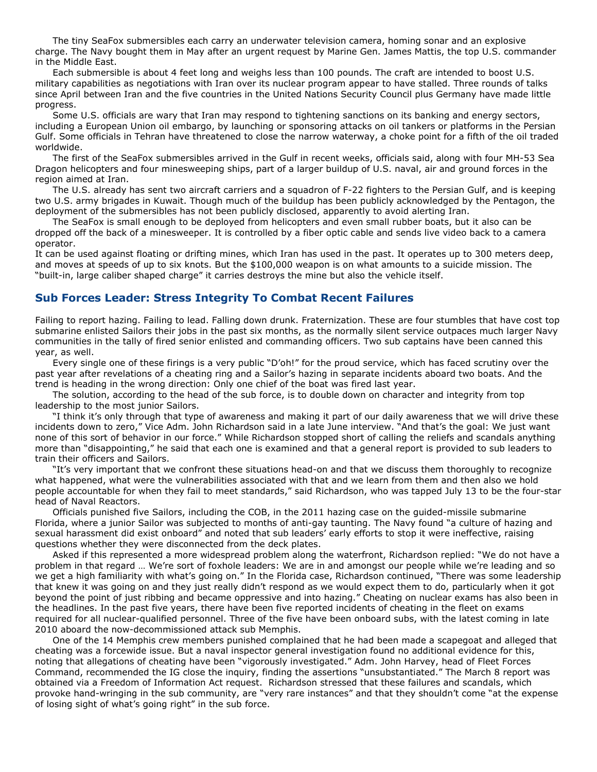The tiny SeaFox submersibles each carry an underwater television camera, homing sonar and an explosive charge. The Navy bought them in May after an urgent request by Marine Gen. James Mattis, the top U.S. commander in the Middle East.

Each submersible is about 4 feet long and weighs less than 100 pounds. The craft are intended to boost U.S. military capabilities as negotiations with Iran over its nuclear program appear to have stalled. Three rounds of talks since April between Iran and the five countries in the United Nations Security Council plus Germany have made little progress.

Some U.S. officials are wary that Iran may respond to tightening sanctions on its banking and energy sectors, including a European Union oil embargo, by launching or sponsoring attacks on oil tankers or platforms in the Persian Gulf. Some officials in Tehran have threatened to close the narrow waterway, a choke point for a fifth of the oil traded worldwide.

The first of the SeaFox submersibles arrived in the Gulf in recent weeks, officials said, along with four MH-53 Sea Dragon helicopters and four minesweeping ships, part of a larger buildup of U.S. naval, air and ground forces in the region aimed at Iran.

The U.S. already has sent two aircraft carriers and a squadron of F-22 fighters to the Persian Gulf, and is keeping two U.S. army brigades in Kuwait. Though much of the buildup has been publicly acknowledged by the Pentagon, the deployment of the submersibles has not been publicly disclosed, apparently to avoid alerting Iran.

The SeaFox is small enough to be deployed from helicopters and even small rubber boats, but it also can be dropped off the back of a minesweeper. It is controlled by a fiber optic cable and sends live video back to a camera operator.

It can be used against floating or drifting mines, which Iran has used in the past. It operates up to 300 meters deep, and moves at speeds of up to six knots. But the \$100,000 weapon is on what amounts to a suicide mission. The "built-in, large caliber shaped charge" it carries destroys the mine but also the vehicle itself.

# **Sub Forces Leader: Stress Integrity To Combat Recent Failures**

Failing to report hazing. Failing to lead. Falling down drunk. Fraternization. These are four stumbles that have cost top submarine enlisted Sailors their jobs in the past six months, as the normally silent service outpaces much larger Navy communities in the tally of fired senior enlisted and commanding officers. Two sub captains have been canned this year, as well.

Every single one of these firings is a very public "D'oh!" for the proud service, which has faced scrutiny over the past year after revelations of a cheating ring and a Sailor's hazing in separate incidents aboard two boats. And the trend is heading in the wrong direction: Only one chief of the boat was fired last year.

The solution, according to the head of the sub force, is to double down on character and integrity from top leadership to the most junior Sailors.

"I think it's only through that type of awareness and making it part of our daily awareness that we will drive these incidents down to zero," Vice Adm. John Richardson said in a late June interview. "And that's the goal: We just want none of this sort of behavior in our force." While Richardson stopped short of calling the reliefs and scandals anything more than "disappointing," he said that each one is examined and that a general report is provided to sub leaders to train their officers and Sailors.

"It's very important that we confront these situations head-on and that we discuss them thoroughly to recognize what happened, what were the vulnerabilities associated with that and we learn from them and then also we hold people accountable for when they fail to meet standards," said Richardson, who was tapped July 13 to be the four-star head of Naval Reactors.

Officials punished five Sailors, including the COB, in the 2011 hazing case on the guided-missile submarine Florida, where a junior Sailor was subjected to months of anti-gay taunting. The Navy found "a culture of hazing and sexual harassment did exist onboard" and noted that sub leaders' early efforts to stop it were ineffective, raising questions whether they were disconnected from the deck plates.

Asked if this represented a more widespread problem along the waterfront, Richardson replied: "We do not have a problem in that regard … We're sort of foxhole leaders: We are in and amongst our people while we're leading and so we get a high familiarity with what's going on." In the Florida case, Richardson continued, "There was some leadership that knew it was going on and they just really didn't respond as we would expect them to do, particularly when it got beyond the point of just ribbing and became oppressive and into hazing." Cheating on nuclear exams has also been in the headlines. In the past five years, there have been five reported incidents of cheating in the fleet on exams required for all nuclear-qualified personnel. Three of the five have been onboard subs, with the latest coming in late 2010 aboard the now-decommissioned attack sub Memphis.

One of the 14 Memphis crew members punished complained that he had been made a scapegoat and alleged that cheating was a forcewide issue. But a naval inspector general investigation found no additional evidence for this, noting that allegations of cheating have been "vigorously investigated." Adm. John Harvey, head of Fleet Forces Command, recommended the IG close the inquiry, finding the assertions "unsubstantiated." The March 8 report was obtained via a Freedom of Information Act request. Richardson stressed that these failures and scandals, which provoke hand-wringing in the sub community, are "very rare instances" and that they shouldn't come "at the expense of losing sight of what's going right" in the sub force.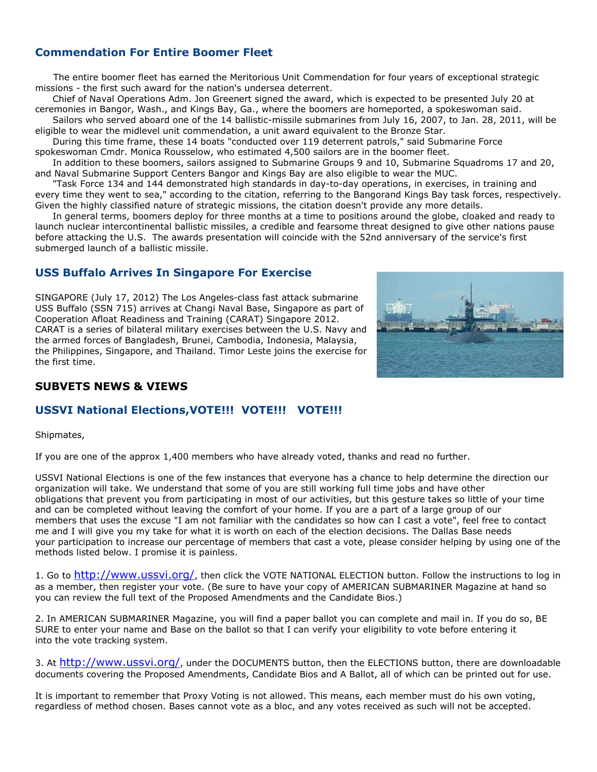# **Commendation For Entire Boomer Fleet**

The entire boomer fleet has earned the Meritorious Unit Commendation for four years of exceptional strategic missions - the first such award for the nation's undersea deterrent.

Chief of Naval Operations Adm. Jon Greenert signed the award, which is expected to be presented July 20 at ceremonies in Bangor, Wash., and Kings Bay, Ga., where the boomers are homeported, a spokeswoman said.

Sailors who served aboard one of the 14 ballistic-missile submarines from July 16, 2007, to Jan. 28, 2011, will be eligible to wear the midlevel unit commendation, a unit award equivalent to the Bronze Star.

During this time frame, these 14 boats "conducted over 119 deterrent patrols," said Submarine Force spokeswoman Cmdr. Monica Rousselow, who estimated 4,500 sailors are in the boomer fleet.

In addition to these boomers, sailors assigned to Submarine Groups 9 and 10, Submarine Squadroms 17 and 20, and Naval Submarine Support Centers Bangor and Kings Bay are also eligible to wear the MUC.

"Task Force 134 and 144 demonstrated high standards in day-to-day operations, in exercises, in training and every time they went to sea," according to the citation, referring to the Bangorand Kings Bay task forces, respectively. Given the highly classified nature of strategic missions, the citation doesn't provide any more details.

In general terms, boomers deploy for three months at a time to positions around the globe, cloaked and ready to launch nuclear intercontinental ballistic missiles, a credible and fearsome threat designed to give other nations pause before attacking the U.S. The awards presentation will coincide with the 52nd anniversary of the service's first submerged launch of a ballistic missile.

# **USS Buffalo Arrives In Singapore For Exercise**

SINGAPORE (July 17, 2012) The Los Angeles-class fast attack submarine USS Buffalo (SSN 715) arrives at Changi Naval Base, Singapore as part of Cooperation Afloat Readiness and Training (CARAT) Singapore 2012. CARAT is a series of bilateral military exercises between the U.S. Navy and the armed forces of Bangladesh, Brunei, Cambodia, Indonesia, Malaysia, the Philippines, Singapore, and Thailand. Timor Leste joins the exercise for the first time.



# **SUBVETS NEWS & VIEWS**

# **USSVI National Elections,VOTE!!! VOTE!!! VOTE!!!**

Shipmates,

If you are one of the approx 1,400 members who have already voted, thanks and read no further.

USSVI National Elections is one of the few instances that everyone has a chance to help determine the direction our organization will take. We understand that some of you are still working full time jobs and have other obligations that prevent you from participating in most of our activities, but this gesture takes so little of your time and can be completed without leaving the comfort of your home. If you are a part of a large group of our members that uses the excuse "I am not familiar with the candidates so how can I cast a vote", feel free to contact me and I will give you my take for what it is worth on each of the election decisions. The Dallas Base needs your participation to increase our percentage of members that cast a vote, please consider helping by using one of the methods listed below. I promise it is painless.

1. Go to <http://www.ussvi.org/>, then click the VOTE NATIONAL ELECTION button. Follow the instructions to log in as a member, then register your vote. (Be sure to have your copy of AMERICAN SUBMARINER Magazine at hand so you can review the full text of the Proposed Amendments and the Candidate Bios.)

2. In AMERICAN SUBMARINER Magazine, you will find a paper ballot you can complete and mail in. If you do so, BE SURE to enter your name and Base on the ballot so that I can verify your eligibility to vote before entering it into the vote tracking system.

3. At <http://www.ussvi.org/>, under the DOCUMENTS button, then the ELECTIONS button, there are downloadable documents covering the Proposed Amendments, Candidate Bios and A Ballot, all of which can be printed out for use.

It is important to remember that Proxy Voting is not allowed. This means, each member must do his own voting, regardless of method chosen. Bases cannot vote as a bloc, and any votes received as such will not be accepted.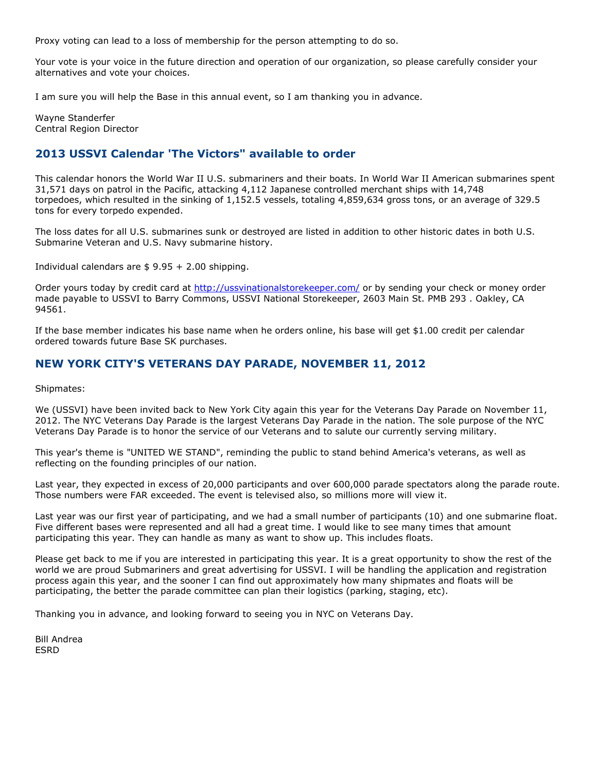Proxy voting can lead to a loss of membership for the person attempting to do so.

Your vote is your voice in the future direction and operation of our organization, so please carefully consider your alternatives and vote your choices.

I am sure you will help the Base in this annual event, so I am thanking you in advance.

Wayne Standerfer Central Region Director

# **2013 USSVI Calendar 'The Victors" available to order**

This calendar honors the World War II U.S. submariners and their boats. In World War II American submarines spent 31,571 days on patrol in the Pacific, attacking 4,112 Japanese controlled merchant ships with 14,748 torpedoes, which resulted in the sinking of 1,152.5 vessels, totaling 4,859,634 gross tons, or an average of 329.5 tons for every torpedo expended.

The loss dates for all U.S. submarines sunk or destroyed are listed in addition to other historic dates in both U.S. Submarine Veteran and U.S. Navy submarine history.

Individual calendars are  $$ 9.95 + 2.00$  shipping.

Order yours today by credit card at<http://ussvinationalstorekeeper.com/> or by sending your check or money order made payable to USSVI to Barry Commons, USSVI National Storekeeper, 2603 Main St. PMB 293 . Oakley, CA 94561.

If the base member indicates his base name when he orders online, his base will get \$1.00 credit per calendar ordered towards future Base SK purchases.

# **NEW YORK CITY'S VETERANS DAY PARADE, NOVEMBER 11, 2012**

Shipmates:

We (USSVI) have been invited back to New York City again this year for the Veterans Day Parade on November 11, 2012. The NYC Veterans Day Parade is the largest Veterans Day Parade in the nation. The sole purpose of the NYC Veterans Day Parade is to honor the service of our Veterans and to salute our currently serving military.

This year's theme is "UNITED WE STAND", reminding the public to stand behind America's veterans, as well as reflecting on the founding principles of our nation.

Last year, they expected in excess of 20,000 participants and over 600,000 parade spectators along the parade route. Those numbers were FAR exceeded. The event is televised also, so millions more will view it.

Last year was our first year of participating, and we had a small number of participants (10) and one submarine float. Five different bases were represented and all had a great time. I would like to see many times that amount participating this year. They can handle as many as want to show up. This includes floats.

Please get back to me if you are interested in participating this year. It is a great opportunity to show the rest of the world we are proud Submariners and great advertising for USSVI. I will be handling the application and registration process again this year, and the sooner I can find out approximately how many shipmates and floats will be participating, the better the parade committee can plan their logistics (parking, staging, etc).

Thanking you in advance, and looking forward to seeing you in NYC on Veterans Day.

Bill Andrea ESRD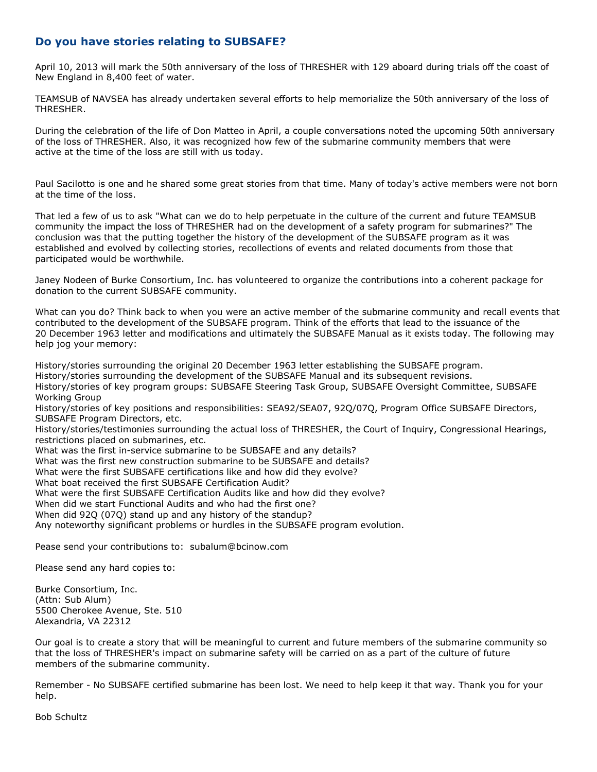# **Do you have stories relating to SUBSAFE?**

April 10, 2013 will mark the 50th anniversary of the loss of THRESHER with 129 aboard during trials off the coast of New England in 8,400 feet of water.

TEAMSUB of NAVSEA has already undertaken several efforts to help memorialize the 50th anniversary of the loss of THRESHER.

During the celebration of the life of Don Matteo in April, a couple conversations noted the upcoming 50th anniversary of the loss of THRESHER. Also, it was recognized how few of the submarine community members that were active at the time of the loss are still with us today.

Paul Sacilotto is one and he shared some great stories from that time. Many of today's active members were not born at the time of the loss.

That led a few of us to ask "What can we do to help perpetuate in the culture of the current and future TEAMSUB community the impact the loss of THRESHER had on the development of a safety program for submarines?" The conclusion was that the putting together the history of the development of the SUBSAFE program as it was established and evolved by collecting stories, recollections of events and related documents from those that participated would be worthwhile.

Janey Nodeen of Burke Consortium, Inc. has volunteered to organize the contributions into a coherent package for donation to the current SUBSAFE community.

What can you do? Think back to when you were an active member of the submarine community and recall events that contributed to the development of the SUBSAFE program. Think of the efforts that lead to the issuance of the 20 December 1963 letter and modifications and ultimately the SUBSAFE Manual as it exists today. The following may help jog your memory:

History/stories surrounding the original 20 December 1963 letter establishing the SUBSAFE program. History/stories surrounding the development of the SUBSAFE Manual and its subsequent revisions. History/stories of key program groups: SUBSAFE Steering Task Group, SUBSAFE Oversight Committee, SUBSAFE Working Group

History/stories of key positions and responsibilities: SEA92/SEA07, 92Q/07Q, Program Office SUBSAFE Directors, SUBSAFE Program Directors, etc.

History/stories/testimonies surrounding the actual loss of THRESHER, the Court of Inquiry, Congressional Hearings, restrictions placed on submarines, etc.

What was the first in-service submarine to be SUBSAFE and any details?

What was the first new construction submarine to be SUBSAFE and details?

What were the first SUBSAFE certifications like and how did they evolve?

What boat received the first SUBSAFE Certification Audit?

What were the first SUBSAFE Certification Audits like and how did they evolve?

When did we start Functional Audits and who had the first one?

When did 92Q (07Q) stand up and any history of the standup?

Any noteworthy significant problems or hurdles in the SUBSAFE program evolution.

Pease send your contributions to: [subalum@bcinow.com](mailto:subalum@bcinow.com) 

Please send any hard copies to:

Burke Consortium, Inc. (Attn: Sub Alum) 5500 Cherokee Avenue, Ste. 510 Alexandria, VA 22312

Our goal is to create a story that will be meaningful to current and future members of the submarine community so that the loss of THRESHER's impact on submarine safety will be carried on as a part of the culture of future members of the submarine community.

Remember - No SUBSAFE certified submarine has been lost. We need to help keep it that way. Thank you for your help.

Bob Schultz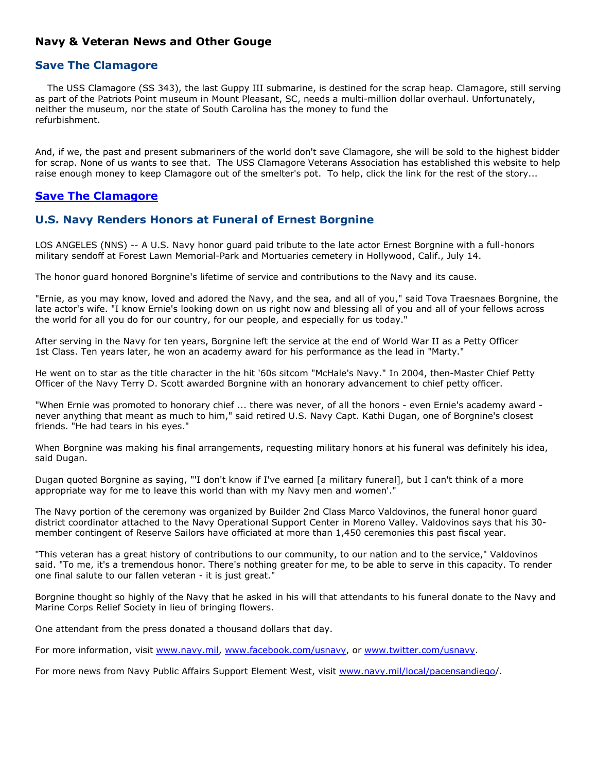# **Navy & Veteran News and Other Gouge**

### **Save The Clamagore**

 The USS Clamagore (SS 343), the last Guppy III submarine, is destined for the scrap heap. Clamagore, still serving as part of the Patriots Point museum in Mount Pleasant, SC, needs a multi-million dollar overhaul. Unfortunately, neither the museum, nor the state of South Carolina has the money to fund the refurbishment.

And, if we, the past and present submariners of the world don't save Clamagore, she will be sold to the highest bidder for scrap. None of us wants to see that. The USS Clamagore Veterans Association has established this website to help raise enough money to keep Clamagore out of the smelter's pot. To help, click the link for the rest of the story...

# **[Save The Clamagore](http://www.savetheclamagore.com/)**

# **U.S. Navy Renders Honors at Funeral of Ernest Borgnine**

LOS ANGELES (NNS) -- A U.S. Navy honor guard paid tribute to the late actor Ernest Borgnine with a full-honors military sendoff at Forest Lawn Memorial-Park and Mortuaries cemetery in Hollywood, Calif., July 14.

The honor guard honored Borgnine's lifetime of service and contributions to the Navy and its cause.

"Ernie, as you may know, loved and adored the Navy, and the sea, and all of you," said Tova Traesnaes Borgnine, the late actor's wife. "I know Ernie's looking down on us right now and blessing all of you and all of your fellows across the world for all you do for our country, for our people, and especially for us today."

After serving in the Navy for ten years, Borgnine left the service at the end of World War II as a Petty Officer 1st Class. Ten years later, he won an academy award for his performance as the lead in "Marty."

He went on to star as the title character in the hit '60s sitcom "McHale's Navy." In 2004, then-Master Chief Petty Officer of the Navy Terry D. Scott awarded Borgnine with an honorary advancement to chief petty officer.

"When Ernie was promoted to honorary chief ... there was never, of all the honors - even Ernie's academy award never anything that meant as much to him," said retired U.S. Navy Capt. Kathi Dugan, one of Borgnine's closest friends. "He had tears in his eyes."

When Borgnine was making his final arrangements, requesting military honors at his funeral was definitely his idea, said Dugan.

Dugan quoted Borgnine as saying, "'I don't know if I've earned [a military funeral], but I can't think of a more appropriate way for me to leave this world than with my Navy men and women'."

The Navy portion of the ceremony was organized by Builder 2nd Class Marco Valdovinos, the funeral honor guard district coordinator attached to the Navy Operational Support Center in Moreno Valley. Valdovinos says that his 30 member contingent of Reserve Sailors have officiated at more than 1,450 ceremonies this past fiscal year.

"This veteran has a great history of contributions to our community, to our nation and to the service," Valdovinos said. "To me, it's a tremendous honor. There's nothing greater for me, to be able to serve in this capacity. To render one final salute to our fallen veteran - it is just great."

Borgnine thought so highly of the Navy that he asked in his will that attendants to his funeral donate to the Navy and Marine Corps Relief Society in lieu of bringing flowers.

One attendant from the press donated a thousand dollars that day.

For more information, visit [www.navy.mil](http://www.navy.mil/), [www.facebook.com/usnavy](http://www.facebook.com/usnavy), or [www.twitter.com/usnavy](http://www.twitter.com/usnavy).

For more news from Navy Public Affairs Support Element West, visit [www.navy.mil/local/pacensandiego](http://www.navy.mil/local/pacensandiego)/.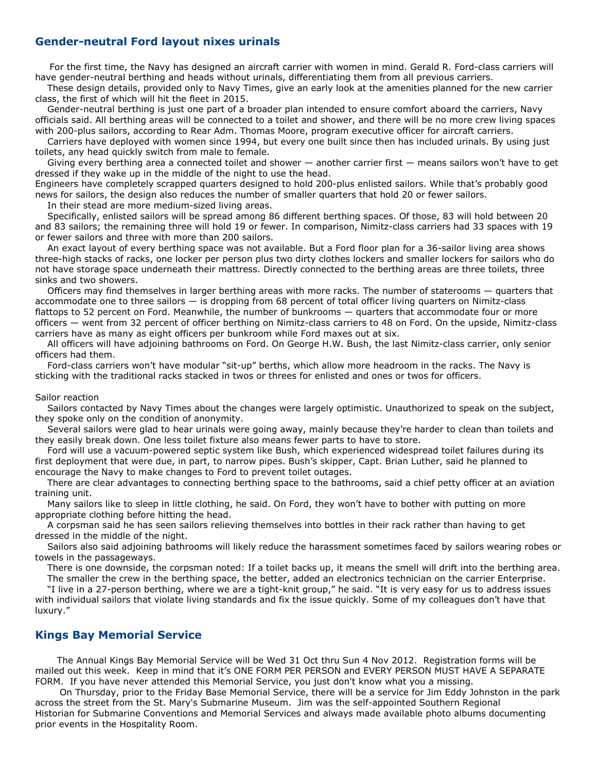## **Gender-neutral Ford layout nixes urinals**

For the first time, the Navy has designed an aircraft carrier with women in mind. Gerald R. Ford-class carriers will have gender-neutral berthing and heads without urinals, differentiating them from all previous carriers.

 These design details, provided only to Navy Times, give an early look at the amenities planned for the new carrier class, the first of which will hit the fleet in 2015.

 Gender-neutral berthing is just one part of a broader plan intended to ensure comfort aboard the carriers, Navy officials said. All berthing areas will be connected to a toilet and shower, and there will be no more crew living spaces with 200-plus sailors, according to Rear Adm. Thomas Moore, program executive officer for aircraft carriers.

 Carriers have deployed with women since 1994, but every one built since then has included urinals. By using just toilets, any head quickly switch from male to female.

 Giving every berthing area a connected toilet and shower — another carrier first — means sailors won't have to get dressed if they wake up in the middle of the night to use the head.

Engineers have completely scrapped quarters designed to hold 200-plus enlisted sailors. While that's probably good news for sailors, the design also reduces the number of smaller quarters that hold 20 or fewer sailors.

In their stead are more medium-sized living areas.

 Specifically, enlisted sailors will be spread among 86 different berthing spaces. Of those, 83 will hold between 20 and 83 sailors; the remaining three will hold 19 or fewer. In comparison, Nimitz-class carriers had 33 spaces with 19 or fewer sailors and three with more than 200 sailors.

 An exact layout of every berthing space was not available. But a Ford floor plan for a 36-sailor living area shows three-high stacks of racks, one locker per person plus two dirty clothes lockers and smaller lockers for sailors who do not have storage space underneath their mattress. Directly connected to the berthing areas are three toilets, three sinks and two showers.

 Officers may find themselves in larger berthing areas with more racks. The number of staterooms — quarters that accommodate one to three sailors — is dropping from 68 percent of total officer living quarters on Nimitz-class flattops to 52 percent on Ford. Meanwhile, the number of bunkrooms — quarters that accommodate four or more officers — went from 32 percent of officer berthing on Nimitz-class carriers to 48 on Ford. On the upside, Nimitz-class carriers have as many as eight officers per bunkroom while Ford maxes out at six.

 All officers will have adjoining bathrooms on Ford. On George H.W. Bush, the last Nimitz-class carrier, only senior officers had them.

 Ford-class carriers won't have modular "sit-up" berths, which allow more headroom in the racks. The Navy is sticking with the traditional racks stacked in twos or threes for enlisted and ones or twos for officers.

#### Sailor reaction

 Sailors contacted by Navy Times about the changes were largely optimistic. Unauthorized to speak on the subject, they spoke only on the condition of anonymity.

 Several sailors were glad to hear urinals were going away, mainly because they're harder to clean than toilets and they easily break down. One less toilet fixture also means fewer parts to have to store.

 Ford will use a vacuum-powered septic system like Bush, which experienced widespread toilet failures during its first deployment that were due, in part, to narrow pipes. Bush's skipper, Capt. Brian Luther, said he planned to encourage the Navy to make changes to Ford to prevent toilet outages.

 There are clear advantages to connecting berthing space to the bathrooms, said a chief petty officer at an aviation training unit.

 Many sailors like to sleep in little clothing, he said. On Ford, they won't have to bother with putting on more appropriate clothing before hitting the head.

 A corpsman said he has seen sailors relieving themselves into bottles in their rack rather than having to get dressed in the middle of the night.

 Sailors also said adjoining bathrooms will likely reduce the harassment sometimes faced by sailors wearing robes or towels in the passageways.

There is one downside, the corpsman noted: If a toilet backs up, it means the smell will drift into the berthing area.

The smaller the crew in the berthing space, the better, added an electronics technician on the carrier Enterprise.

 "I live in a 27-person berthing, where we are a tight-knit group," he said. "It is very easy for us to address issues with individual sailors that violate living standards and fix the issue quickly. Some of my colleagues don't have that luxury."

### **Kings Bay Memorial Service**

The Annual Kings Bay Memorial Service will be Wed 31 Oct thru Sun 4 Nov 2012. Registration forms will be mailed out this week. Keep in mind that it's ONE FORM PER PERSON and EVERY PERSON MUST HAVE A SEPARATE FORM. If you have never attended this Memorial Service, you just don't know what you a missing.

 On Thursday, prior to the Friday Base Memorial Service, there will be a service for Jim Eddy Johnston in the park across the street from the St. Mary's Submarine Museum. Jim was the self-appointed Southern Regional Historian for Submarine Conventions and Memorial Services and always made available photo albums documenting prior events in the Hospitality Room.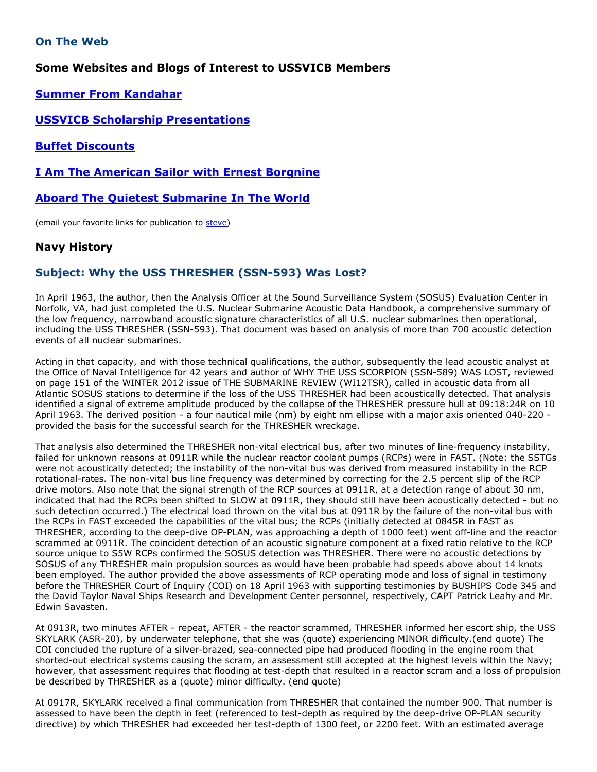# **On The Web**

# **Some Websites and Blogs of Interest to USSVICB Members**

**[Summer From Kandahar](http://qovf.blogspot.com/2012/07/summer-update-from-kandahar.html)**

# **[USSVICB Scholarship Presentations](http://ussvicb.org/scholarship/2012%20scholarship/Admiral%20Osborn%20Scholarship%20Presentations.pdf)**

**[Buffet Discounts](http://www.militaryshoppers.com/email/071212_buffets/)**

## **[I Am The American Sailor with Ernest Borgnine](http://www.youtube.com/watch?v=6hWPqSP31lY&feature=youtu.be)**

## **[Aboard The Quietest Submarine In The World](http://www.youtube.com/watch?v=TfjYZUiOkUw&feature=related)**

(email your favorite links for publication to [steve\)](mailto:steven.morawiec@comcast.net)

# **Navy History**

# **Subject: Why the USS THRESHER (SSN-593) Was Lost?**

In April 1963, the author, then the Analysis Officer at the Sound Surveillance System (SOSUS) Evaluation Center in Norfolk, VA, had just completed the U.S. Nuclear Submarine Acoustic Data Handbook, a comprehensive summary of the low frequency, narrowband acoustic signature characteristics of all U.S. nuclear submarines then operational, including the USS THRESHER (SSN-593). That document was based on analysis of more than 700 acoustic detection events of all nuclear submarines.

Acting in that capacity, and with those technical qualifications, the author, subsequently the lead acoustic analyst at the Office of Naval Intelligence for 42 years and author of WHY THE USS SCORPION (SSN-589) WAS LOST, reviewed on page 151 of the WINTER 2012 issue of THE SUBMARINE REVIEW (WI12TSR), called in acoustic data from all Atlantic SOSUS stations to determine if the loss of the USS THRESHER had been acoustically detected. That analysis identified a signal of extreme amplitude produced by the collapse of the THRESHER pressure hull at 09:18:24R on 10 April 1963. The derived position - a four nautical mile (nm) by eight nm ellipse with a major axis oriented 040-220 provided the basis for the successful search for the THRESHER wreckage.

That analysis also determined the THRESHER non-vital electrical bus, after two minutes of line-frequency instability, failed for unknown reasons at 0911R while the nuclear reactor coolant pumps (RCPs) were in FAST. (Note: the SSTGs were not acoustically detected; the instability of the non-vital bus was derived from measured instability in the RCP rotational-rates. The non-vital bus line frequency was determined by correcting for the 2.5 percent slip of the RCP drive motors. Also note that the signal strength of the RCP sources at 0911R, at a detection range of about 30 nm, indicated that had the RCPs been shifted to SLOW at 0911R, they should still have been acoustically detected - but no such detection occurred.) The electrical load thrown on the vital bus at 0911R by the failure of the non-vital bus with the RCPs in FAST exceeded the capabilities of the vital bus; the RCPs (initially detected at 0845R in FAST as THRESHER, according to the deep-dive OP-PLAN, was approaching a depth of 1000 feet) went off-line and the reactor scrammed at 0911R. The coincident detection of an acoustic signature component at a fixed ratio relative to the RCP source unique to S5W RCPs confirmed the SOSUS detection was THRESHER. There were no acoustic detections by SOSUS of any THRESHER main propulsion sources as would have been probable had speeds above about 14 knots been employed. The author provided the above assessments of RCP operating mode and loss of signal in testimony before the THRESHER Court of Inquiry (COI) on 18 April 1963 with supporting testimonies by BUSHIPS Code 345 and the David Taylor Naval Ships Research and Development Center personnel, respectively, CAPT Patrick Leahy and Mr. Edwin Savasten.

At 0913R, two minutes AFTER - repeat, AFTER - the reactor scrammed, THRESHER informed her escort ship, the USS SKYLARK (ASR-20), by underwater telephone, that she was (quote) experiencing MINOR difficulty.(end quote) The COI concluded the rupture of a silver-brazed, sea-connected pipe had produced flooding in the engine room that shorted-out electrical systems causing the scram, an assessment still accepted at the highest levels within the Navy; however, that assessment requires that flooding at test-depth that resulted in a reactor scram and a loss of propulsion be described by THRESHER as a (quote) minor difficulty. (end quote)

At 0917R, SKYLARK received a final communication from THRESHER that contained the number 900. That number is assessed to have been the depth in feet (referenced to test-depth as required by the deep-drive OP-PLAN security directive) by which THRESHER had exceeded her test-depth of 1300 feet, or 2200 feet. With an estimated average